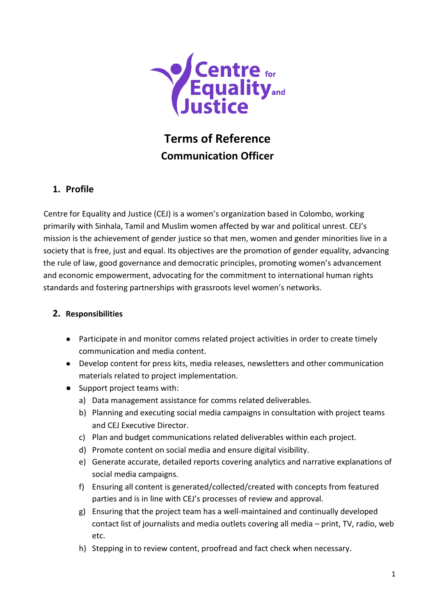

# **Terms of Reference Communication Officer**

### **1. Profile**

Centre for Equality and Justice (CEJ) is a women's organization based in Colombo, working primarily with Sinhala, Tamil and Muslim women affected by war and political unrest. CEJ's mission is the achievement of gender justice so that men, women and gender minorities live in a society that is free, just and equal. Its objectives are the promotion of gender equality, advancing the rule of law, good governance and democratic principles, promoting women's advancement and economic empowerment, advocating for the commitment to international human rights standards and fostering partnerships with grassroots level women's networks.

#### **2. Responsibilities**

- Participate in and monitor comms related project activities in order to create timely communication and media content.
- Develop content for press kits, media releases, newsletters and other communication materials related to project implementation.
- Support project teams with:
	- a) Data management assistance for comms related deliverables.
	- b) Planning and executing social media campaigns in consultation with project teams and CEJ Executive Director.
	- c) Plan and budget communications related deliverables within each project.
	- d) Promote content on social media and ensure digital visibility.
	- e) Generate accurate, detailed reports covering analytics and narrative explanations of social media campaigns.
	- f) Ensuring all content is generated/collected/created with concepts from featured parties and is in line with CEJ's processes of review and approval.
	- g) Ensuring that the project team has a well-maintained and continually developed contact list of journalists and media outlets covering all media – print, TV, radio, web etc.
	- h) Stepping in to review content, proofread and fact check when necessary.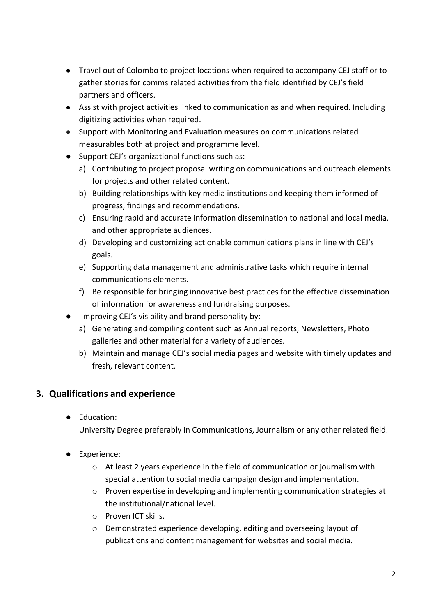- Travel out of Colombo to project locations when required to accompany CEJ staff or to gather stories for comms related activities from the field identified by CEJ's field partners and officers.
- Assist with project activities linked to communication as and when required. Including digitizing activities when required.
- Support with Monitoring and Evaluation measures on communications related measurables both at project and programme level.
- Support CEJ's organizational functions such as:
	- a) Contributing to project proposal writing on communications and outreach elements for projects and other related content.
	- b) Building relationships with key media institutions and keeping them informed of progress, findings and recommendations.
	- c) Ensuring rapid and accurate information dissemination to national and local media, and other appropriate audiences.
	- d) Developing and customizing actionable communications plans in line with CEJ's goals.
	- e) Supporting data management and administrative tasks which require internal communications elements.
	- f) Be responsible for bringing innovative best practices for the effective dissemination of information for awareness and fundraising purposes.
- Improving CEJ's visibility and brand personality by:
	- a) Generating and compiling content such as Annual reports, Newsletters, Photo galleries and other material for a variety of audiences.
	- b) Maintain and manage CEJ's social media pages and website with timely updates and fresh, relevant content.

# **3. Qualifications and experience**

● Education:

University Degree preferably in Communications, Journalism or any other related field.

- Experience:
	- o At least 2 years experience in the field of communication or journalism with special attention to social media campaign design and implementation.
	- o Proven expertise in developing and implementing communication strategies at the institutional/national level.
	- o Proven ICT skills.
	- o Demonstrated experience developing, editing and overseeing layout of publications and content management for websites and social media.